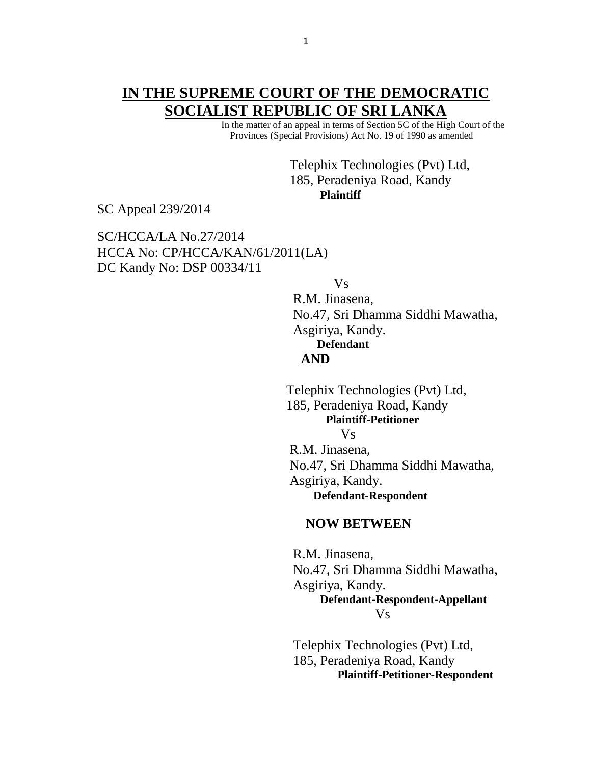## **IN THE SUPREME COURT OF THE DEMOCRATIC SOCIALIST REPUBLIC OF SRI LANKA**

 In the matter of an appeal in terms of Section 5C of the High Court of the Provinces (Special Provisions) Act No. 19 of 1990 as amended

> Telephix Technologies (Pvt) Ltd, 185, Peradeniya Road, Kandy **Plaintiff**

SC Appeal 239/2014

SC/HCCA/LA No.27/2014 HCCA No: CP/HCCA/KAN/61/2011(LA) DC Kandy No: DSP 00334/11

Vs

 R.M. Jinasena, No.47, Sri Dhamma Siddhi Mawatha, Asgiriya, Kandy. **Defendant AND**

Telephix Technologies (Pvt) Ltd, 185, Peradeniya Road, Kandy  **Plaintiff-Petitioner** Vs R.M. Jinasena,

No.47, Sri Dhamma Siddhi Mawatha, Asgiriya, Kandy. **Defendant-Respondent**

## **NOW BETWEEN**

R.M. Jinasena, No.47, Sri Dhamma Siddhi Mawatha, Asgiriya, Kandy. **Defendant-Respondent-Appellant** Vs

> Telephix Technologies (Pvt) Ltd, 185, Peradeniya Road, Kandy  **Plaintiff-Petitioner-Respondent**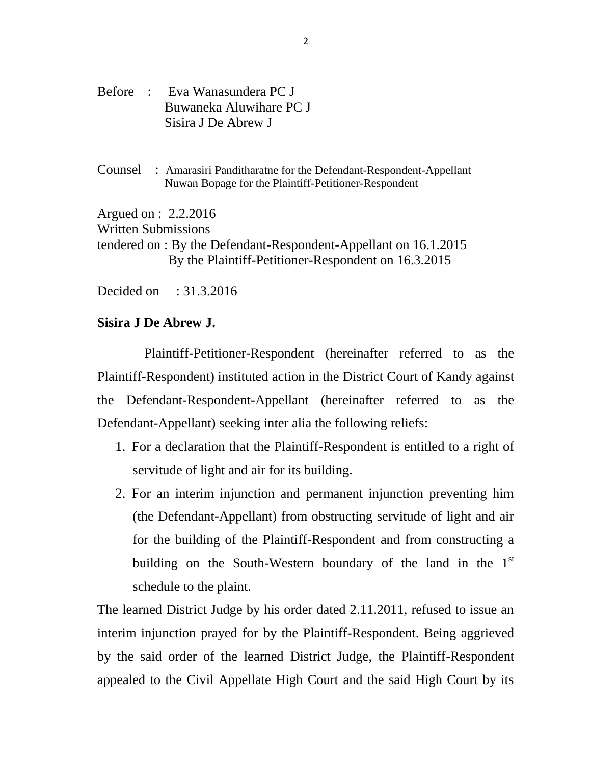- Before : Eva Wanasundera PC J Buwaneka Aluwihare PC J Sisira J De Abrew J
- Counsel : Amarasiri Panditharatne for the Defendant-Respondent-Appellant Nuwan Bopage for the Plaintiff-Petitioner-Respondent

Argued on : 2.2.2016

Written Submissions

tendered on : By the Defendant-Respondent-Appellant on 16.1.2015 By the Plaintiff-Petitioner-Respondent on 16.3.2015

Decided on : 31.3.2016

## **Sisira J De Abrew J.**

Plaintiff-Petitioner-Respondent (hereinafter referred to as the Plaintiff-Respondent) instituted action in the District Court of Kandy against the Defendant-Respondent-Appellant (hereinafter referred to as the Defendant-Appellant) seeking inter alia the following reliefs:

- 1. For a declaration that the Plaintiff-Respondent is entitled to a right of servitude of light and air for its building.
- 2. For an interim injunction and permanent injunction preventing him (the Defendant-Appellant) from obstructing servitude of light and air for the building of the Plaintiff-Respondent and from constructing a building on the South-Western boundary of the land in the 1<sup>st</sup> schedule to the plaint.

The learned District Judge by his order dated 2.11.2011, refused to issue an interim injunction prayed for by the Plaintiff-Respondent. Being aggrieved by the said order of the learned District Judge, the Plaintiff-Respondent appealed to the Civil Appellate High Court and the said High Court by its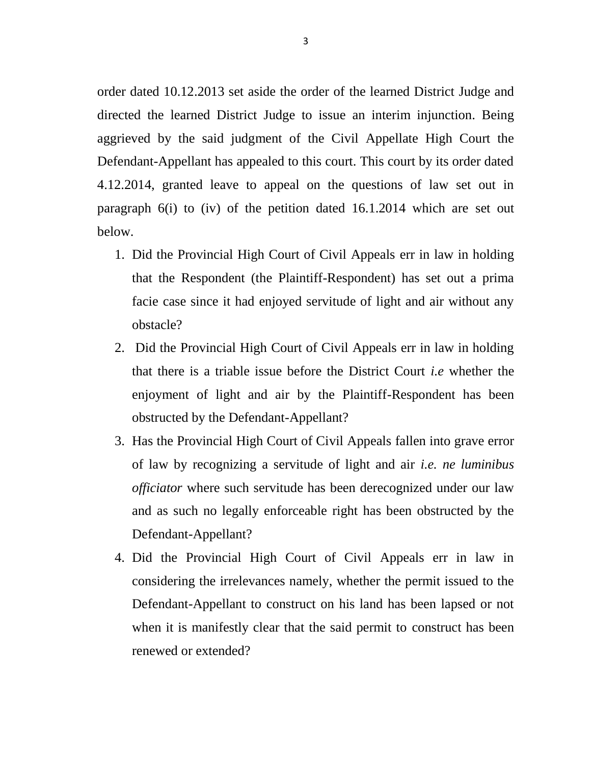order dated 10.12.2013 set aside the order of the learned District Judge and directed the learned District Judge to issue an interim injunction. Being aggrieved by the said judgment of the Civil Appellate High Court the Defendant-Appellant has appealed to this court. This court by its order dated 4.12.2014, granted leave to appeal on the questions of law set out in paragraph 6(i) to (iv) of the petition dated 16.1.2014 which are set out below.

- 1. Did the Provincial High Court of Civil Appeals err in law in holding that the Respondent (the Plaintiff-Respondent) has set out a prima facie case since it had enjoyed servitude of light and air without any obstacle?
- 2. Did the Provincial High Court of Civil Appeals err in law in holding that there is a triable issue before the District Court *i.e* whether the enjoyment of light and air by the Plaintiff-Respondent has been obstructed by the Defendant-Appellant?
- 3. Has the Provincial High Court of Civil Appeals fallen into grave error of law by recognizing a servitude of light and air *i.e. ne luminibus officiator* where such servitude has been derecognized under our law and as such no legally enforceable right has been obstructed by the Defendant-Appellant?
- 4. Did the Provincial High Court of Civil Appeals err in law in considering the irrelevances namely, whether the permit issued to the Defendant-Appellant to construct on his land has been lapsed or not when it is manifestly clear that the said permit to construct has been renewed or extended?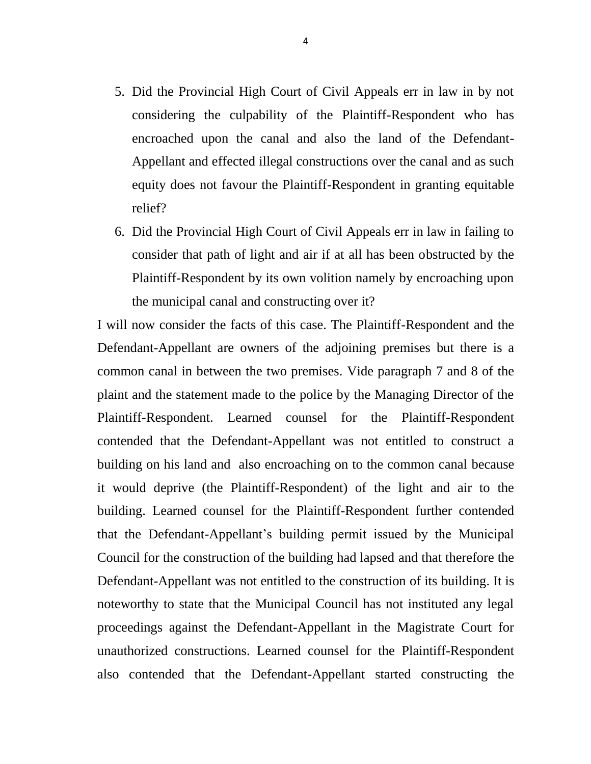- 5. Did the Provincial High Court of Civil Appeals err in law in by not considering the culpability of the Plaintiff-Respondent who has encroached upon the canal and also the land of the Defendant-Appellant and effected illegal constructions over the canal and as such equity does not favour the Plaintiff-Respondent in granting equitable relief?
- 6. Did the Provincial High Court of Civil Appeals err in law in failing to consider that path of light and air if at all has been obstructed by the Plaintiff-Respondent by its own volition namely by encroaching upon the municipal canal and constructing over it?

I will now consider the facts of this case. The Plaintiff-Respondent and the Defendant-Appellant are owners of the adjoining premises but there is a common canal in between the two premises. Vide paragraph 7 and 8 of the plaint and the statement made to the police by the Managing Director of the Plaintiff-Respondent. Learned counsel for the Plaintiff-Respondent contended that the Defendant-Appellant was not entitled to construct a building on his land and also encroaching on to the common canal because it would deprive (the Plaintiff-Respondent) of the light and air to the building. Learned counsel for the Plaintiff-Respondent further contended that the Defendant-Appellant's building permit issued by the Municipal Council for the construction of the building had lapsed and that therefore the Defendant-Appellant was not entitled to the construction of its building. It is noteworthy to state that the Municipal Council has not instituted any legal proceedings against the Defendant-Appellant in the Magistrate Court for unauthorized constructions. Learned counsel for the Plaintiff-Respondent also contended that the Defendant-Appellant started constructing the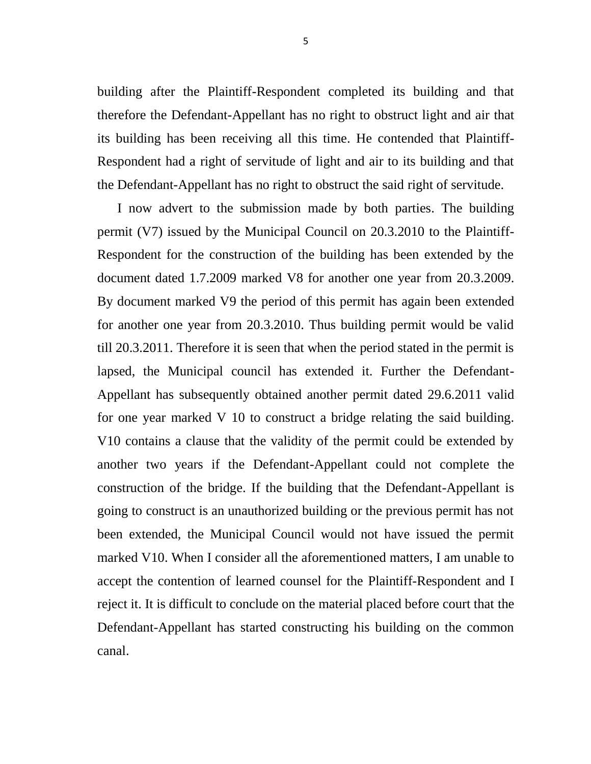building after the Plaintiff-Respondent completed its building and that therefore the Defendant-Appellant has no right to obstruct light and air that its building has been receiving all this time. He contended that Plaintiff-Respondent had a right of servitude of light and air to its building and that the Defendant-Appellant has no right to obstruct the said right of servitude.

 I now advert to the submission made by both parties. The building permit (V7) issued by the Municipal Council on 20.3.2010 to the Plaintiff-Respondent for the construction of the building has been extended by the document dated 1.7.2009 marked V8 for another one year from 20.3.2009. By document marked V9 the period of this permit has again been extended for another one year from 20.3.2010. Thus building permit would be valid till 20.3.2011. Therefore it is seen that when the period stated in the permit is lapsed, the Municipal council has extended it. Further the Defendant-Appellant has subsequently obtained another permit dated 29.6.2011 valid for one year marked V 10 to construct a bridge relating the said building. V10 contains a clause that the validity of the permit could be extended by another two years if the Defendant-Appellant could not complete the construction of the bridge. If the building that the Defendant-Appellant is going to construct is an unauthorized building or the previous permit has not been extended, the Municipal Council would not have issued the permit marked V10. When I consider all the aforementioned matters, I am unable to accept the contention of learned counsel for the Plaintiff-Respondent and I reject it. It is difficult to conclude on the material placed before court that the Defendant-Appellant has started constructing his building on the common canal.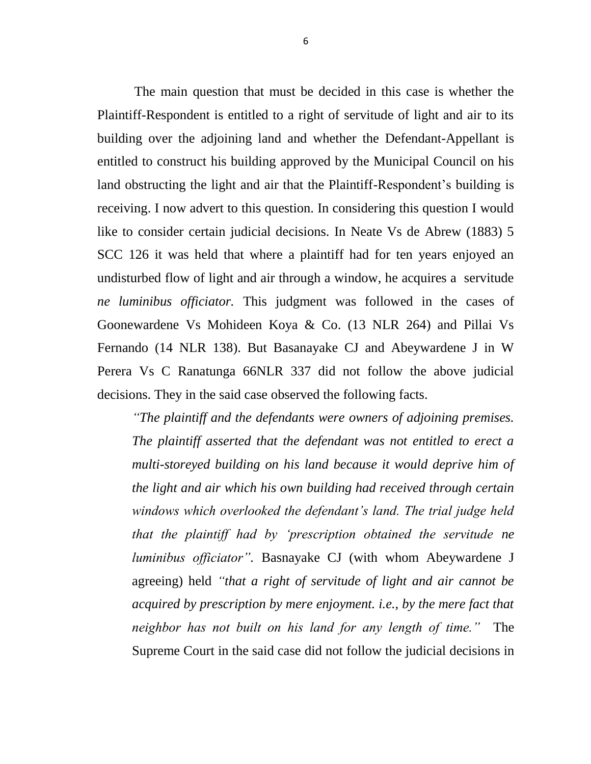The main question that must be decided in this case is whether the Plaintiff-Respondent is entitled to a right of servitude of light and air to its building over the adjoining land and whether the Defendant-Appellant is entitled to construct his building approved by the Municipal Council on his land obstructing the light and air that the Plaintiff-Respondent's building is receiving. I now advert to this question. In considering this question I would like to consider certain judicial decisions. In Neate Vs de Abrew (1883) 5 SCC 126 it was held that where a plaintiff had for ten years enjoyed an undisturbed flow of light and air through a window, he acquires a servitude *ne luminibus officiator.* This judgment was followed in the cases of Goonewardene Vs Mohideen Koya & Co. (13 NLR 264) and Pillai Vs Fernando (14 NLR 138). But Basanayake CJ and Abeywardene J in W Perera Vs C Ranatunga 66NLR 337 did not follow the above judicial decisions. They in the said case observed the following facts.

*"The plaintiff and the defendants were owners of adjoining premises. The plaintiff asserted that the defendant was not entitled to erect a multi-storeyed building on his land because it would deprive him of the light and air which his own building had received through certain windows which overlooked the defendant"s land. The trial judge held that the plaintiff had by "prescription obtained the servitude ne luminibus officiator".* Basnayake CJ (with whom Abeywardene J agreeing) held *"that a right of servitude of light and air cannot be acquired by prescription by mere enjoyment. i.e., by the mere fact that neighbor has not built on his land for any length of time."* The Supreme Court in the said case did not follow the judicial decisions in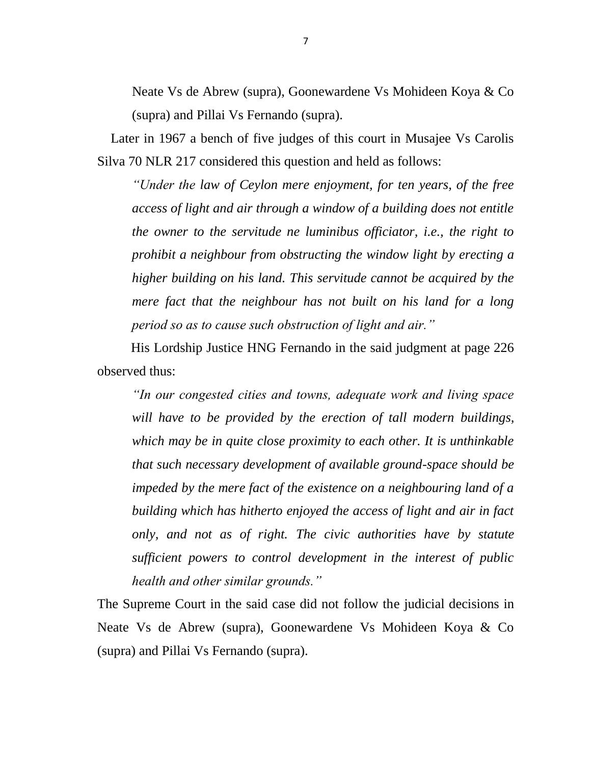Neate Vs de Abrew (supra), Goonewardene Vs Mohideen Koya & Co (supra) and Pillai Vs Fernando (supra).

 Later in 1967 a bench of five judges of this court in Musajee Vs Carolis Silva 70 NLR 217 considered this question and held as follows:

*"Under the law of Ceylon mere enjoyment, for ten years, of the free access of light and air through a window of a building does not entitle the owner to the servitude ne luminibus officiator, i.e., the right to prohibit a neighbour from obstructing the window light by erecting a higher building on his land. This servitude cannot be acquired by the mere fact that the neighbour has not built on his land for a long period so as to cause such obstruction of light and air."*

 His Lordship Justice HNG Fernando in the said judgment at page 226 observed thus:

*"In our congested cities and towns, adequate work and living space will have to be provided by the erection of tall modern buildings, which may be in quite close proximity to each other. It is unthinkable that such necessary development of available ground-space should be impeded by the mere fact of the existence on a neighbouring land of a building which has hitherto enjoyed the access of light and air in fact only, and not as of right. The civic authorities have by statute sufficient powers to control development in the interest of public health and other similar grounds."*

The Supreme Court in the said case did not follow the judicial decisions in Neate Vs de Abrew (supra), Goonewardene Vs Mohideen Koya & Co (supra) and Pillai Vs Fernando (supra).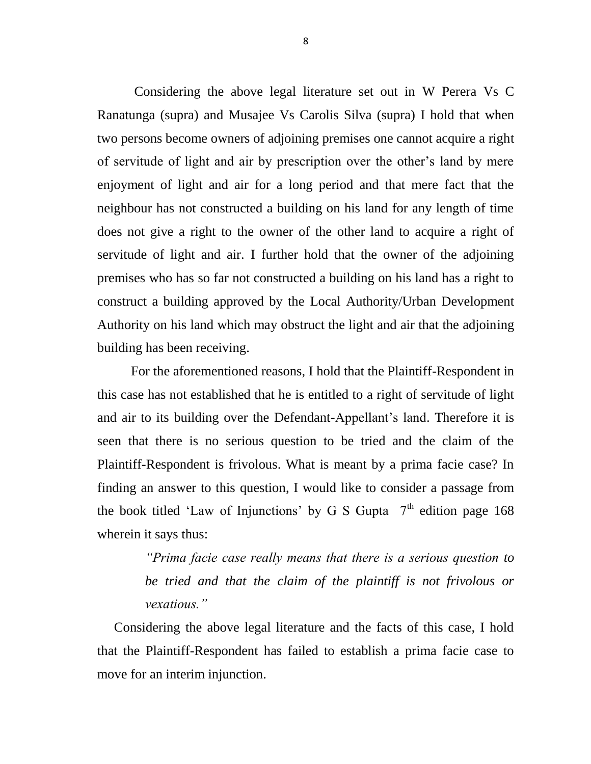Considering the above legal literature set out in W Perera Vs C Ranatunga (supra) and Musajee Vs Carolis Silva (supra) I hold that when two persons become owners of adjoining premises one cannot acquire a right of servitude of light and air by prescription over the other's land by mere enjoyment of light and air for a long period and that mere fact that the neighbour has not constructed a building on his land for any length of time does not give a right to the owner of the other land to acquire a right of servitude of light and air. I further hold that the owner of the adjoining premises who has so far not constructed a building on his land has a right to construct a building approved by the Local Authority/Urban Development Authority on his land which may obstruct the light and air that the adjoining building has been receiving.

 For the aforementioned reasons, I hold that the Plaintiff-Respondent in this case has not established that he is entitled to a right of servitude of light and air to its building over the Defendant-Appellant's land. Therefore it is seen that there is no serious question to be tried and the claim of the Plaintiff-Respondent is frivolous. What is meant by a prima facie case? In finding an answer to this question, I would like to consider a passage from the book titled 'Law of Injunctions' by G S Gupta  $7<sup>th</sup>$  edition page 168 wherein it says thus:

> *"Prima facie case really means that there is a serious question to be tried and that the claim of the plaintiff is not frivolous or vexatious."*

Considering the above legal literature and the facts of this case, I hold that the Plaintiff-Respondent has failed to establish a prima facie case to move for an interim injunction.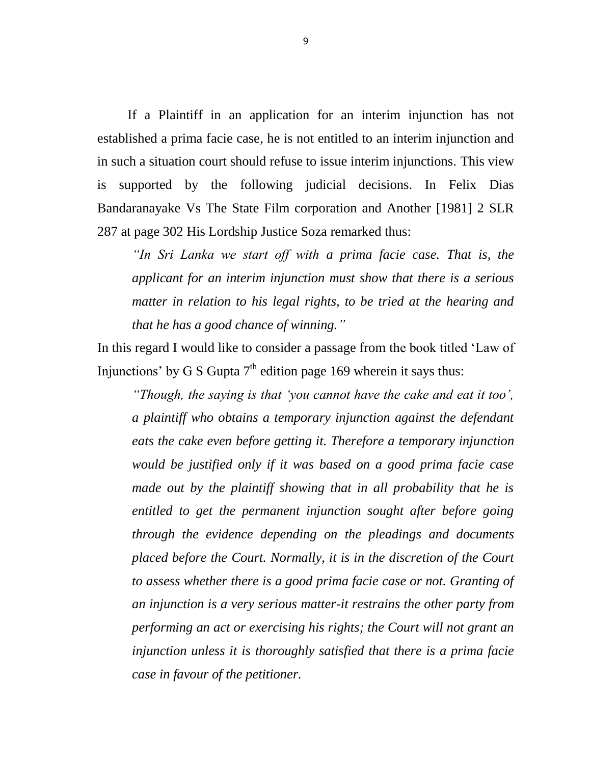If a Plaintiff in an application for an interim injunction has not established a prima facie case, he is not entitled to an interim injunction and in such a situation court should refuse to issue interim injunctions. This view is supported by the following judicial decisions. In Felix Dias Bandaranayake Vs The State Film corporation and Another [1981] 2 SLR 287 at page 302 His Lordship Justice Soza remarked thus:

*"In Sri Lanka we start off with a prima facie case. That is, the applicant for an interim injunction must show that there is a serious matter in relation to his legal rights, to be tried at the hearing and that he has a good chance of winning."*

In this regard I would like to consider a passage from the book titled 'Law of Injunctions' by G S Gupta  $7<sup>th</sup>$  edition page 169 wherein it says thus:

*"Though, the saying is that "you cannot have the cake and eat it too", a plaintiff who obtains a temporary injunction against the defendant eats the cake even before getting it. Therefore a temporary injunction would be justified only if it was based on a good prima facie case made out by the plaintiff showing that in all probability that he is entitled to get the permanent injunction sought after before going through the evidence depending on the pleadings and documents placed before the Court. Normally, it is in the discretion of the Court to assess whether there is a good prima facie case or not. Granting of an injunction is a very serious matter-it restrains the other party from performing an act or exercising his rights; the Court will not grant an injunction unless it is thoroughly satisfied that there is a prima facie case in favour of the petitioner.*